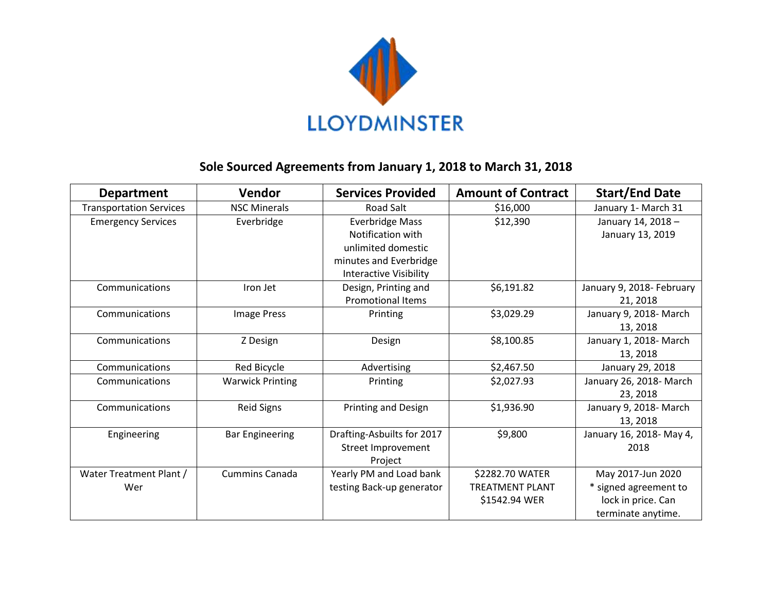

## **Sole Sourced Agreements from January 1, 2018 to March 31, 2018**

| <b>Department</b>              | Vendor                  | <b>Services Provided</b>      | <b>Amount of Contract</b> | <b>Start/End Date</b>     |
|--------------------------------|-------------------------|-------------------------------|---------------------------|---------------------------|
| <b>Transportation Services</b> | <b>NSC Minerals</b>     | Road Salt                     | \$16,000                  | January 1- March 31       |
| <b>Emergency Services</b>      | Everbridge              | <b>Everbridge Mass</b>        | \$12,390                  | January 14, 2018-         |
|                                |                         | Notification with             |                           | January 13, 2019          |
|                                |                         | unlimited domestic            |                           |                           |
|                                |                         | minutes and Everbridge        |                           |                           |
|                                |                         | <b>Interactive Visibility</b> |                           |                           |
| Communications                 | Iron Jet                | Design, Printing and          | \$6,191.82                | January 9, 2018- February |
|                                |                         | <b>Promotional Items</b>      |                           | 21, 2018                  |
| Communications                 | <b>Image Press</b>      | Printing                      | \$3,029.29                | January 9, 2018- March    |
|                                |                         |                               |                           | 13, 2018                  |
| Communications                 | Z Design                | Design                        | \$8,100.85                | January 1, 2018- March    |
|                                |                         |                               |                           | 13, 2018                  |
| Communications                 | Red Bicycle             | Advertising                   | \$2,467.50                | January 29, 2018          |
| Communications                 | <b>Warwick Printing</b> | Printing                      | \$2,027.93                | January 26, 2018- March   |
|                                |                         |                               |                           | 23, 2018                  |
| Communications                 | <b>Reid Signs</b>       | Printing and Design           | \$1,936.90                | January 9, 2018- March    |
|                                |                         |                               |                           | 13, 2018                  |
| Engineering                    | <b>Bar Engineering</b>  | Drafting-Asbuilts for 2017    | \$9,800                   | January 16, 2018- May 4,  |
|                                |                         | Street Improvement            |                           | 2018                      |
|                                |                         | Project                       |                           |                           |
| Water Treatment Plant /        | <b>Cummins Canada</b>   | Yearly PM and Load bank       | \$2282.70 WATER           | May 2017-Jun 2020         |
| Wer                            |                         | testing Back-up generator     | <b>TREATMENT PLANT</b>    | * signed agreement to     |
|                                |                         |                               | \$1542.94 WER             | lock in price. Can        |
|                                |                         |                               |                           | terminate anytime.        |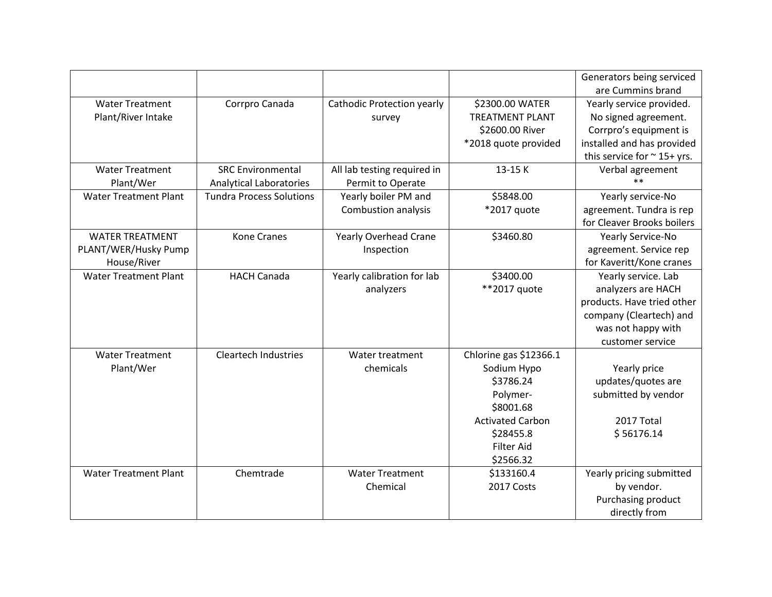|                              |                                 |                              |                         | Generators being serviced        |
|------------------------------|---------------------------------|------------------------------|-------------------------|----------------------------------|
|                              |                                 |                              |                         | are Cummins brand                |
| <b>Water Treatment</b>       | Corrpro Canada                  | Cathodic Protection yearly   | \$2300.00 WATER         | Yearly service provided.         |
| Plant/River Intake           |                                 | survey                       | <b>TREATMENT PLANT</b>  | No signed agreement.             |
|                              |                                 |                              | \$2600.00 River         | Corrpro's equipment is           |
|                              |                                 |                              | *2018 quote provided    | installed and has provided       |
|                              |                                 |                              |                         | this service for $\sim$ 15+ yrs. |
| <b>Water Treatment</b>       | <b>SRC Environmental</b>        | All lab testing required in  | 13-15 K                 | Verbal agreement                 |
| Plant/Wer                    | <b>Analytical Laboratories</b>  | Permit to Operate            |                         | $**$                             |
| <b>Water Treatment Plant</b> | <b>Tundra Process Solutions</b> | Yearly boiler PM and         | \$5848.00               | Yearly service-No                |
|                              |                                 | Combustion analysis          | *2017 quote             | agreement. Tundra is rep         |
|                              |                                 |                              |                         | for Cleaver Brooks boilers       |
| <b>WATER TREATMENT</b>       | <b>Kone Cranes</b>              | <b>Yearly Overhead Crane</b> | \$3460.80               | Yearly Service-No                |
| PLANT/WER/Husky Pump         |                                 | Inspection                   |                         | agreement. Service rep           |
| House/River                  |                                 |                              |                         | for Kaveritt/Kone cranes         |
| <b>Water Treatment Plant</b> | <b>HACH Canada</b>              | Yearly calibration for lab   | \$3400.00               | Yearly service. Lab              |
|                              |                                 | analyzers                    | **2017 quote            | analyzers are HACH               |
|                              |                                 |                              |                         | products. Have tried other       |
|                              |                                 |                              |                         | company (Cleartech) and          |
|                              |                                 |                              |                         | was not happy with               |
|                              |                                 |                              |                         | customer service                 |
| <b>Water Treatment</b>       | <b>Cleartech Industries</b>     | Water treatment              | Chlorine gas \$12366.1  |                                  |
| Plant/Wer                    |                                 | chemicals                    | Sodium Hypo             | Yearly price                     |
|                              |                                 |                              | \$3786.24               | updates/quotes are               |
|                              |                                 |                              | Polymer-                | submitted by vendor              |
|                              |                                 |                              | \$8001.68               |                                  |
|                              |                                 |                              | <b>Activated Carbon</b> | 2017 Total                       |
|                              |                                 |                              | \$28455.8               | \$56176.14                       |
|                              |                                 |                              | <b>Filter Aid</b>       |                                  |
|                              |                                 |                              | \$2566.32               |                                  |
| <b>Water Treatment Plant</b> | Chemtrade                       | <b>Water Treatment</b>       | \$133160.4              | Yearly pricing submitted         |
|                              |                                 | Chemical                     | 2017 Costs              | by vendor.                       |
|                              |                                 |                              |                         | Purchasing product               |
|                              |                                 |                              |                         | directly from                    |